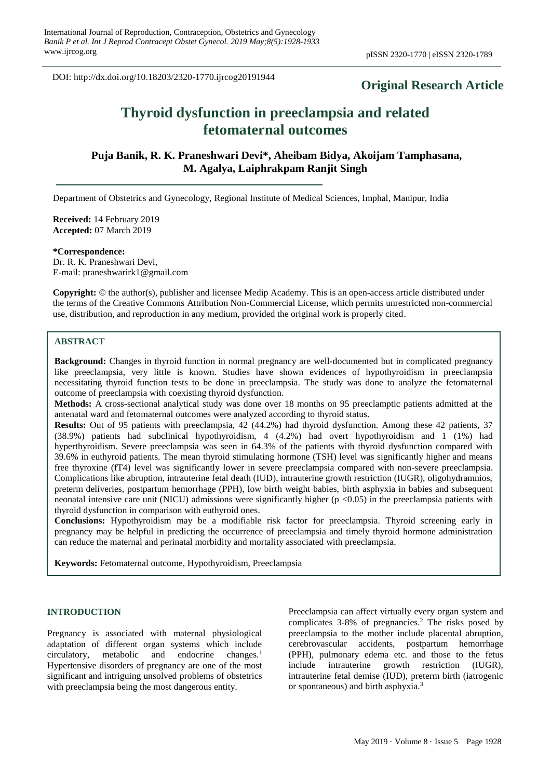DOI: http://dx.doi.org/10.18203/2320-1770.ijrcog20191944

# **Original Research Article**

# **Thyroid dysfunction in preeclampsia and related fetomaternal outcomes**

**Puja Banik, R. K. Praneshwari Devi\*, Aheibam Bidya, Akoijam Tamphasana, M. Agalya, Laiphrakpam Ranjit Singh**

Department of Obstetrics and Gynecology, Regional Institute of Medical Sciences, Imphal, Manipur, India

**Received:** 14 February 2019 **Accepted:** 07 March 2019

**\*Correspondence:** Dr. R. K. Praneshwari Devi, E-mail: praneshwarirk1@gmail.com

**Copyright:** © the author(s), publisher and licensee Medip Academy. This is an open-access article distributed under the terms of the Creative Commons Attribution Non-Commercial License, which permits unrestricted non-commercial use, distribution, and reproduction in any medium, provided the original work is properly cited.

# **ABSTRACT**

**Background:** Changes in thyroid function in normal pregnancy are well-documented but in complicated pregnancy like preeclampsia, very little is known. Studies have shown evidences of hypothyroidism in preeclampsia necessitating thyroid function tests to be done in preeclampsia. The study was done to analyze the fetomaternal outcome of preeclampsia with coexisting thyroid dysfunction.

**Methods:** A cross-sectional analytical study was done over 18 months on 95 preeclamptic patients admitted at the antenatal ward and fetomaternal outcomes were analyzed according to thyroid status.

**Results:** Out of 95 patients with preeclampsia, 42 (44.2%) had thyroid dysfunction. Among these 42 patients, 37 (38.9%) patients had subclinical hypothyroidism, 4 (4.2%) had overt hypothyroidism and 1 (1%) had hyperthyroidism. Severe preeclampsia was seen in 64.3% of the patients with thyroid dysfunction compared with 39.6% in euthyroid patients. The mean thyroid stimulating hormone (TSH) level was significantly higher and means free thyroxine (fT4) level was significantly lower in severe preeclampsia compared with non-severe preeclampsia. Complications like abruption, intrauterine fetal death (IUD), intrauterine growth restriction (IUGR), oligohydramnios, preterm deliveries, postpartum hemorrhage (PPH), low birth weight babies, birth asphyxia in babies and subsequent neonatal intensive care unit (NICU) admissions were significantly higher (p <0.05) in the preeclampsia patients with thyroid dysfunction in comparison with euthyroid ones.

**Conclusions:** Hypothyroidism may be a modifiable risk factor for preeclampsia. Thyroid screening early in pregnancy may be helpful in predicting the occurrence of preeclampsia and timely thyroid hormone administration can reduce the maternal and perinatal morbidity and mortality associated with preeclampsia.

**Keywords:** Fetomaternal outcome, Hypothyroidism, Preeclampsia

#### **INTRODUCTION**

Pregnancy is associated with maternal physiological adaptation of different organ systems which include circulatory, metabolic and endocrine changes.<sup>1</sup> Hypertensive disorders of pregnancy are one of the most significant and intriguing unsolved problems of obstetrics with preeclampsia being the most dangerous entity.

Preeclampsia can affect virtually every organ system and complicates  $3-8\%$  of pregnancies.<sup>2</sup> The risks posed by preeclampsia to the mother include placental abruption, cerebrovascular accidents, postpartum hemorrhage (PPH), pulmonary edema etc. and those to the fetus include intrauterine growth restriction (IUGR), intrauterine fetal demise (IUD), preterm birth (iatrogenic or spontaneous) and birth asphyxia.<sup>3</sup>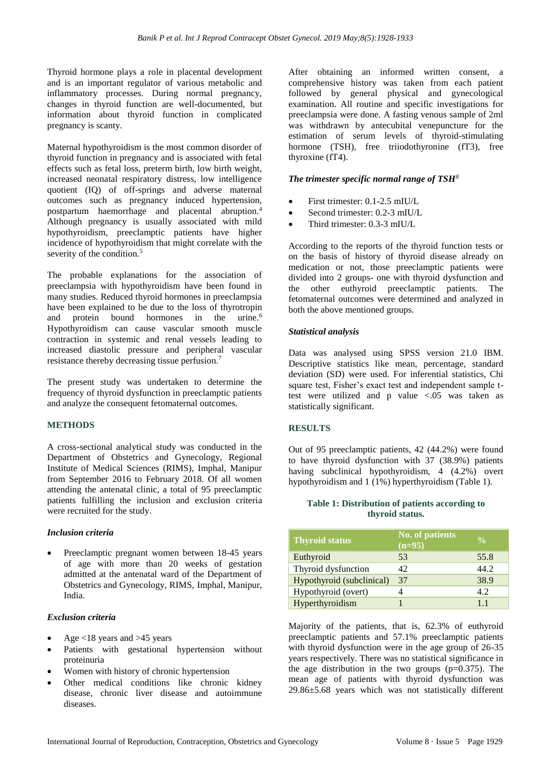Thyroid hormone plays a role in placental development and is an important regulator of various metabolic and inflammatory processes. During normal pregnancy, changes in thyroid function are well-documented, but information about thyroid function in complicated pregnancy is scanty.

Maternal hypothyroidism is the most common disorder of thyroid function in pregnancy and is associated with fetal effects such as fetal loss, preterm birth, low birth weight, increased neonatal respiratory distress, low intelligence quotient (IQ) of off-springs and adverse maternal outcomes such as pregnancy induced hypertension, postpartum haemorrhage and placental abruption.<sup>4</sup> Although pregnancy is usually associated with mild hypothyroidism, preeclamptic patients have higher incidence of hypothyroidism that might correlate with the severity of the condition.<sup>5</sup>

The probable explanations for the association of preeclampsia with hypothyroidism have been found in many studies. Reduced thyroid hormones in preeclampsia have been explained to be due to the loss of thyrotropin and protein bound hormones in the urine.<sup>6</sup> Hypothyroidism can cause vascular smooth muscle contraction in systemic and renal vessels leading to increased diastolic pressure and peripheral vascular resistance thereby decreasing tissue perfusion.<sup>7</sup>

The present study was undertaken to determine the frequency of thyroid dysfunction in preeclamptic patients and analyze the consequent fetomaternal outcomes.

### **METHODS**

A cross-sectional analytical study was conducted in the Department of Obstetrics and Gynecology, Regional Institute of Medical Sciences (RIMS), Imphal, Manipur from September 2016 to February 2018. Of all women attending the antenatal clinic, a total of 95 preeclamptic patients fulfilling the inclusion and exclusion criteria were recruited for the study.

#### *Inclusion criteria*

• Preeclamptic pregnant women between 18-45 years of age with more than 20 weeks of gestation admitted at the antenatal ward of the Department of Obstetrics and Gynecology, RIMS, Imphal, Manipur, India.

#### *Exclusion criteria*

- Age  $<18$  years and  $>45$  years
- Patients with gestational hypertension without proteinuria
- Women with history of chronic hypertension
- Other medical conditions like chronic kidney disease, chronic liver disease and autoimmune diseases.

After obtaining an informed written consent, a comprehensive history was taken from each patient followed by general physical and gynecological examination. All routine and specific investigations for preeclampsia were done. A fasting venous sample of 2ml was withdrawn by antecubital venepuncture for the estimation of serum levels of thyroid-stimulating hormone (TSH), free triiodothyronine (fT3), free thyroxine (fT4).

#### *The trimester specific normal range of TSH<sup>8</sup>*

- First trimester: 0.1-2.5 mIU/L
- Second trimester: 0.2-3 mIU/L
- Third trimester: 0.3-3 mIU/L

According to the reports of the thyroid function tests or on the basis of history of thyroid disease already on medication or not, those preeclamptic patients were divided into 2 groups- one with thyroid dysfunction and the other euthyroid preeclamptic patients. The fetomaternal outcomes were determined and analyzed in both the above mentioned groups.

#### *Statistical analysis*

Data was analysed using SPSS version 21.0 IBM. Descriptive statistics like mean, percentage, standard deviation (SD) were used. For inferential statistics, Chi square test, Fisher's exact test and independent sample ttest were utilized and p value <.05 was taken as statistically significant.

#### **RESULTS**

Out of 95 preeclamptic patients, 42 (44.2%) were found to have thyroid dysfunction with 37 (38.9%) patients having subclinical hypothyroidism, 4 (4.2%) overt hypothyroidism and 1 (1%) hyperthyroidism (Table 1).

#### **Table 1: Distribution of patients according to thyroid status.**

| <b>Thyroid status</b>     | <b>No. of patients</b><br>$(n=95)$ | $\frac{0}{0}$ |
|---------------------------|------------------------------------|---------------|
| Euthyroid                 | 53                                 | 55.8          |
| Thyroid dysfunction       | 42.                                | 44.2          |
| Hypothyroid (subclinical) | 37                                 | 38.9          |
| Hypothyroid (overt)       |                                    | 4.2           |
| Hyperthyroidism           |                                    | 11            |

Majority of the patients, that is, 62.3% of euthyroid preeclamptic patients and 57.1% preeclamptic patients with thyroid dysfunction were in the age group of 26-35 years respectively. There was no statistical significance in the age distribution in the two groups  $(p=0.375)$ . The mean age of patients with thyroid dysfunction was 29.86±5.68 years which was not statistically different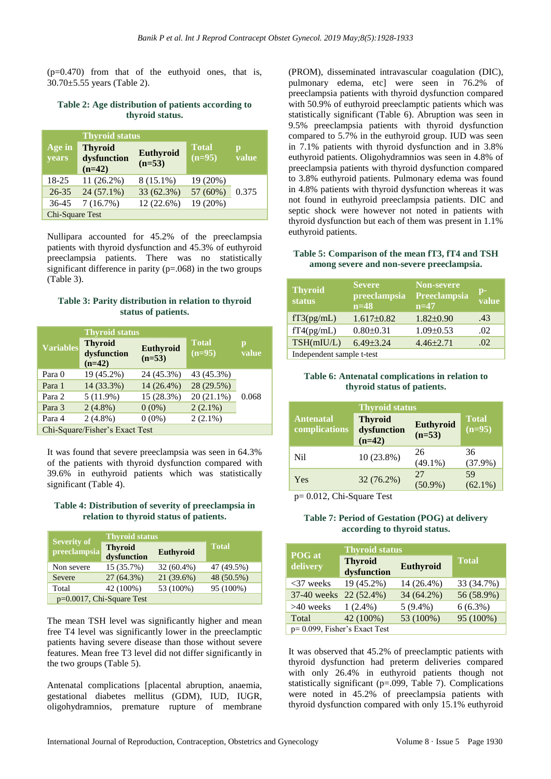$(p=0.470)$  from that of the euthyoid ones, that is, 30.70±5.55 years (Table 2).

**Table 2: Age distribution of patients according to thyroid status.**

|                 | <b>Thyroid status</b>                     |                       |                          |            |
|-----------------|-------------------------------------------|-----------------------|--------------------------|------------|
| Age in<br>years | <b>Thyroid</b><br>dysfunction<br>$(n=42)$ | Euthyroid<br>$(n=53)$ | <b>Total</b><br>$(n=95)$ | p<br>value |
| 18-25           | $11(26.2\%)$                              | $8(15.1\%)$           | 19 (20%)                 |            |
| $26 - 35$       | $24(57.1\%)$                              | 33 (62.3%)            | 57 (60%)                 | 0.375      |
| 36-45           | 7(16.7%)                                  | 12 (22.6%)            | 19 (20%)                 |            |
| Chi-Square Test |                                           |                       |                          |            |

Nullipara accounted for 45.2% of the preeclampsia patients with thyroid dysfunction and 45.3% of euthyroid preeclampsia patients. There was no statistically significant difference in parity  $(p=.068)$  in the two groups (Table 3).

#### **Table 3: Parity distribution in relation to thyroid status of patients.**

|                  | <b>Thyroid status</b>                     |                       |                          |            |
|------------------|-------------------------------------------|-----------------------|--------------------------|------------|
| <b>Variables</b> | <b>Thyroid</b><br>dysfunction<br>$(n=42)$ | Euthyroid<br>$(n=53)$ | <b>Total</b><br>$(n=95)$ | p<br>value |
| Para 0           | 19 (45.2%)                                | 24 (45.3%)            | 43 (45.3%)               |            |
| Para 1           | 14 (33.3%)                                | $14(26.4\%)$          | 28 (29.5%)               |            |
| Para 2           | 5(11.9%)                                  | 15 (28.3%)            | $20(21.1\%)$             | 0.068      |
| Para 3           | $2(4.8\%)$                                | $0(0\%)$              | $2(2.1\%)$               |            |
| Para 4           | $2(4.8\%)$                                | $0(0\%)$              | $2(2.1\%)$               |            |
|                  | Chi-Square/Fisher's Exact Test            |                       |                          |            |

It was found that severe preeclampsia was seen in 64.3% of the patients with thyroid dysfunction compared with 39.6% in euthyroid patients which was statistically significant (Table 4).

#### **Table 4: Distribution of severity of preeclampsia in relation to thyroid status of patients.**

| <b>Severity of</b>        | <b>Thyroid status</b>         |                  |              |
|---------------------------|-------------------------------|------------------|--------------|
| preeclampsia              | <b>Thyroid</b><br>dysfunction | <b>Euthyroid</b> | <b>Total</b> |
| Non severe                | 15 (35.7%)                    | $32(60.4\%)$     | 47 (49.5%)   |
| Severe                    | $27(64.3\%)$                  | 21 (39.6%)       | 48 (50.5%)   |
| Total                     | 42 (100%)                     | 53 (100%)        | 95 (100%)    |
| p=0.0017, Chi-Square Test |                               |                  |              |

The mean TSH level was significantly higher and mean free T4 level was significantly lower in the preeclamptic patients having severe disease than those without severe features. Mean free T3 level did not differ significantly in the two groups (Table 5).

Antenatal complications [placental abruption, anaemia, gestational diabetes mellitus (GDM), IUD, IUGR, oligohydramnios, premature rupture of membrane (PROM), disseminated intravascular coagulation (DIC), pulmonary edema, etc] were seen in 76.2% of preeclampsia patients with thyroid dysfunction compared with 50.9% of euthyroid preeclamptic patients which was statistically significant (Table 6). Abruption was seen in 9.5% preeclampsia patients with thyroid dysfunction compared to 5.7% in the euthyroid group. IUD was seen in 7.1% patients with thyroid dysfunction and in 3.8% euthyroid patients. Oligohydramnios was seen in 4.8% of preeclampsia patients with thyroid dysfunction compared to 3.8% euthyroid patients. Pulmonary edema was found in 4.8% patients with thyroid dysfunction whereas it was not found in euthyroid preeclampsia patients. DIC and septic shock were however not noted in patients with thyroid dysfunction but each of them was present in 1.1% euthyroid patients.

**Table 5: Comparison of the mean fT3, fT4 and TSH among severe and non-severe preeclampsia.**

| <b>Thyroid</b><br>status  | <b>Severe</b><br>preeclampsia<br>$n=48$ | <b>Non-severe</b><br>Preeclampsia<br>$n=47$ | $\mathbf{p}$ -<br>value |  |
|---------------------------|-----------------------------------------|---------------------------------------------|-------------------------|--|
| fT3(pg/mL)                | $1.617\pm0.82$                          | $1.82 \pm 0.90$                             | .43                     |  |
| fT4(pg/mL)                | $0.80 \pm 0.31$                         | $1.09 \pm 0.53$                             | .02                     |  |
| TSH(mIU/L)                | $6.49 \pm 3.24$                         | $4.46 \pm 2.71$                             | .02                     |  |
| Independent sample t-test |                                         |                                             |                         |  |

#### **Table 6: Antenatal complications in relation to thyroid status of patients.**

| <b>Thyroid status</b>             |                                           |                       |                          |  |
|-----------------------------------|-------------------------------------------|-----------------------|--------------------------|--|
| <b>Antenatal</b><br>complications | <b>Thyroid</b><br>dysfunction<br>$(n=42)$ | Euthyroid<br>$(n=53)$ | <b>Total</b><br>$(n=95)$ |  |
| Nil                               | 10 (23.8%)                                | 26<br>$(49.1\%)$      | 36<br>$(37.9\%)$         |  |
| Yes                               | 32 (76.2%)                                | 27<br>$(50.9\%)$      | 59<br>$(62.1\%)$         |  |

p= 0.012, Chi-Square Test

#### **Table 7: Period of Gestation (POG) at delivery according to thyroid status.**

| POG at                        | <b>Thyroid status</b>         |                  |              |  |
|-------------------------------|-------------------------------|------------------|--------------|--|
| delivery                      | <b>Thyroid</b><br>dysfunction | <b>Euthyroid</b> | <b>Total</b> |  |
| $<$ 37 weeks                  | 19 (45.2%)                    | 14 (26.4%)       | 33 (34.7%)   |  |
| $37-40$ weeks                 | 22 (52.4%)                    | 34 (64.2%)       | 56 (58.9%)   |  |
| $>40$ weeks                   | $1(2.4\%)$                    | $5(9.4\%)$       | $6(6.3\%)$   |  |
| Total                         | 42 (100%)                     | 53 (100%)        | 95 (100%)    |  |
| p= 0.099, Fisher's Exact Test |                               |                  |              |  |

It was observed that 45.2% of preeclamptic patients with thyroid dysfunction had preterm deliveries compared with only 26.4% in euthyroid patients though not statistically significant (p=.099, Table 7). Complications were noted in 45.2% of preeclampsia patients with thyroid dysfunction compared with only 15.1% euthyroid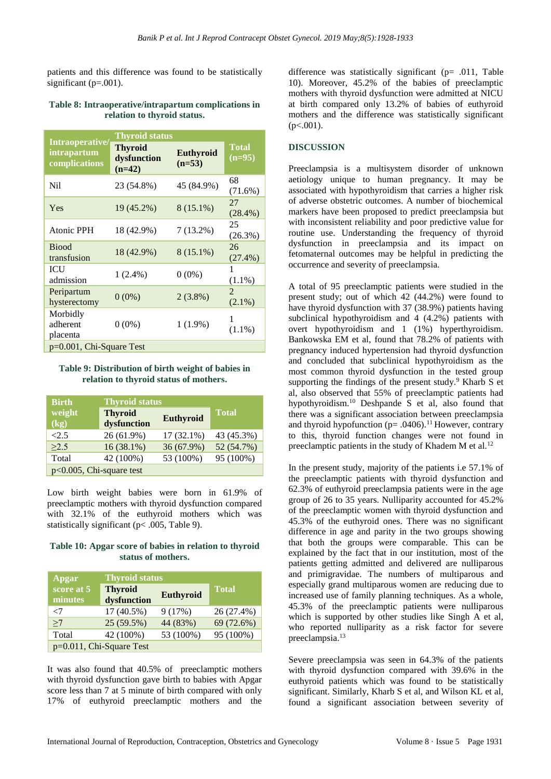patients and this difference was found to be statistically significant  $(p=.001)$ .

#### **Table 8: Intraoperative/intrapartum complications in relation to thyroid status.**

|                                                 | <b>Thyroid status</b>                     |                              |                          |  |
|-------------------------------------------------|-------------------------------------------|------------------------------|--------------------------|--|
| Intraoperative/<br>intrapartum<br>complications | <b>Thyroid</b><br>dysfunction<br>$(n=42)$ | <b>Euthyroid</b><br>$(n=53)$ | <b>Total</b><br>$(n=95)$ |  |
| Nil                                             | 23 (54.8%)                                | 45 (84.9%)                   | 68<br>(71.6%)            |  |
| Yes                                             | 19 (45.2%)                                | $8(15.1\%)$                  | 27<br>$(28.4\%)$         |  |
| <b>Atonic PPH</b>                               | 18 (42.9%)                                | $7(13.2\%)$                  | 25<br>$(26.3\%)$         |  |
| <b>Biood</b><br>transfusion                     | 18 (42.9%)                                | $8(15.1\%)$                  | 26<br>$(27.4\%)$         |  |
| ICU<br>admission                                | $1(2.4\%)$                                | $0(0\%)$                     | 1<br>$(1.1\%)$           |  |
| Peripartum<br>hysterectomy                      | $0(0\%)$                                  | $2(3.8\%)$                   | 2<br>$(2.1\%)$           |  |
| Morbidly<br>adherent<br>placenta                | $0(0\%)$                                  | $1(1.9\%)$                   | $(1.1\%)$                |  |
| p=0.001, Chi-Square Test                        |                                           |                              |                          |  |

#### **Table 9: Distribution of birth weight of babies in relation to thyroid status of mothers.**

| <b>Birth</b>                | <b>Thyroid status</b>         |              |              |
|-----------------------------|-------------------------------|--------------|--------------|
| weight<br>(kg)              | <b>Thyroid</b><br>dysfunction | Euthyroid    | <b>Total</b> |
| <2.5                        | 26 (61.9%)                    | $17(32.1\%)$ | 43 (45.3%)   |
| >2.5                        | $16(38.1\%)$                  | 36 (67.9%)   | 52 (54.7%)   |
| Total                       | 42 (100%)                     | 53 (100%)    | 95 (100%)    |
| $p<0.005$ , Chi-square test |                               |              |              |

Low birth weight babies were born in 61.9% of preeclamptic mothers with thyroid dysfunction compared with 32.1% of the euthyroid mothers which was statistically significant (p< .005, Table 9).

**Table 10: Apgar score of babies in relation to thyroid status of mothers.**

| Apgar                    | <b>Thyroid status</b>         |           |              |  |
|--------------------------|-------------------------------|-----------|--------------|--|
| score at 5<br>minutes    | <b>Thyroid</b><br>dysfunction | Euthyroid | <b>Total</b> |  |
| $<$ 7                    | 17 (40.5%)                    | 9(17%)    | 26 (27.4%)   |  |
| >7                       | 25 (59.5%)                    | 44 (83%)  | 69 (72.6%)   |  |
| Total                    | 42 (100%)                     | 53 (100%) | 95 (100%)    |  |
| p=0.011, Chi-Square Test |                               |           |              |  |

It was also found that 40.5% of preeclamptic mothers with thyroid dysfunction gave birth to babies with Apgar score less than 7 at 5 minute of birth compared with only 17% of euthyroid preeclamptic mothers and the

difference was statistically significant (p= .011, Table 10). Moreover, 45.2% of the babies of preeclamptic mothers with thyroid dysfunction were admitted at NICU at birth compared only 13.2% of babies of euthyroid mothers and the difference was statistically significant  $(p<.001)$ .

## **DISCUSSION**

Preeclampsia is a multisystem disorder of unknown aetiology unique to human pregnancy. It may be associated with hypothyroidism that carries a higher risk of adverse obstetric outcomes. A number of biochemical markers have been proposed to predict preeclampsia but with inconsistent reliability and poor predictive value for routine use. Understanding the frequency of thyroid dysfunction in preeclampsia and its impact on fetomaternal outcomes may be helpful in predicting the occurrence and severity of preeclampsia.

A total of 95 preeclamptic patients were studied in the present study; out of which 42 (44.2%) were found to have thyroid dysfunction with 37 (38.9%) patients having subclinical hypothyroidism and 4 (4.2%) patients with overt hypothyroidism and 1 (1%) hyperthyroidism. Bankowska EM et al, found that 78.2% of patients with pregnancy induced hypertension had thyroid dysfunction and concluded that subclinical hypothyroidism as the most common thyroid dysfunction in the tested group supporting the findings of the present study. $9$  Kharb S et al, also observed that 55% of preeclamptic patients had hypothyroidism.<sup>10</sup> Deshpande S et al, also found that there was a significant association between preeclampsia and thyroid hypofunction ( $p = .0406$ ).<sup>11</sup> However, contrary to this, thyroid function changes were not found in preeclamptic patients in the study of Khadem M et al.<sup>12</sup>

In the present study, majority of the patients i.e 57.1% of the preeclamptic patients with thyroid dysfunction and 62.3% of euthyroid preeclampsia patients were in the age group of 26 to 35 years. Nulliparity accounted for 45.2% of the preeclamptic women with thyroid dysfunction and 45.3% of the euthyroid ones. There was no significant difference in age and parity in the two groups showing that both the groups were comparable. This can be explained by the fact that in our institution, most of the patients getting admitted and delivered are nulliparous and primigravidae. The numbers of multiparous and especially grand multiparous women are reducing due to increased use of family planning techniques. As a whole, 45.3% of the preeclamptic patients were nulliparous which is supported by other studies like Singh A et al, who reported nulliparity as a risk factor for severe preeclampsia.<sup>13</sup>

Severe preeclampsia was seen in 64.3% of the patients with thyroid dysfunction compared with 39.6% in the euthyroid patients which was found to be statistically significant. Similarly, Kharb S et al, and Wilson KL et al, found a significant association between severity of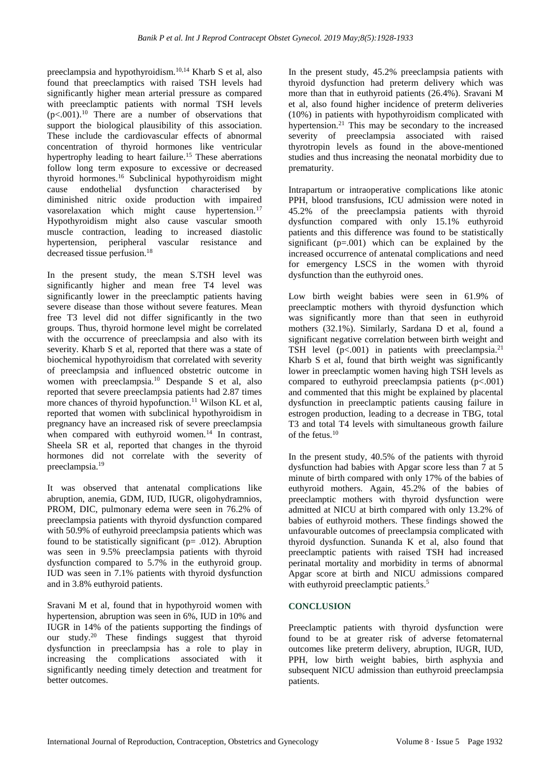preeclampsia and hypothyroidism.10,14 Kharb S et al, also found that preeclamptics with raised TSH levels had significantly higher mean arterial pressure as compared with preeclamptic patients with normal TSH levels  $(p<.001)$ .<sup>10</sup> There are a number of observations that support the biological plausibility of this association. These include the cardiovascular effects of abnormal concentration of thyroid hormones like ventricular hypertrophy leading to heart failure.<sup>15</sup> These aberrations follow long term exposure to excessive or decreased thyroid hormones.<sup>16</sup> Subclinical hypothyroidism might cause endothelial dysfunction characterised by diminished nitric oxide production with impaired vasorelaxation which might cause hypertension.<sup>17</sup> Hypothyroidism might also cause vascular smooth muscle contraction, leading to increased diastolic hypertension, peripheral vascular resistance and decreased tissue perfusion.<sup>18</sup>

In the present study, the mean S.TSH level was significantly higher and mean free T4 level was significantly lower in the preeclamptic patients having severe disease than those without severe features. Mean free T3 level did not differ significantly in the two groups. Thus, thyroid hormone level might be correlated with the occurrence of preeclampsia and also with its severity. Kharb S et al, reported that there was a state of biochemical hypothyroidism that correlated with severity of preeclampsia and influenced obstetric outcome in women with preeclampsia.<sup>10</sup> Despande S et al, also reported that severe preeclampsia patients had 2.87 times more chances of thyroid hypofunction.<sup>11</sup> Wilson KL et al. reported that women with subclinical hypothyroidism in pregnancy have an increased risk of severe preeclampsia when compared with euthyroid women. $14$  In contrast, Sheela SR et al, reported that changes in the thyroid hormones did not correlate with the severity of preeclampsia.<sup>19</sup>

It was observed that antenatal complications like abruption, anemia, GDM, IUD, IUGR, oligohydramnios, PROM, DIC, pulmonary edema were seen in 76.2% of preeclampsia patients with thyroid dysfunction compared with 50.9% of euthyroid preeclampsia patients which was found to be statistically significant ( $p = .012$ ). Abruption was seen in 9.5% preeclampsia patients with thyroid dysfunction compared to 5.7% in the euthyroid group. IUD was seen in 7.1% patients with thyroid dysfunction and in 3.8% euthyroid patients.

Sravani M et al, found that in hypothyroid women with hypertension, abruption was seen in 6%, IUD in 10% and IUGR in 14% of the patients supporting the findings of our study.<sup>20</sup> These findings suggest that thyroid dysfunction in preeclampsia has a role to play in increasing the complications associated with it significantly needing timely detection and treatment for better outcomes.

In the present study, 45.2% preeclampsia patients with thyroid dysfunction had preterm delivery which was more than that in euthyroid patients (26.4%). Sravani M et al, also found higher incidence of preterm deliveries (10%) in patients with hypothyroidism complicated with hypertension.<sup>21</sup> This may be secondary to the increased severity of preeclampsia associated with raised thyrotropin levels as found in the above-mentioned studies and thus increasing the neonatal morbidity due to prematurity.

Intrapartum or intraoperative complications like atonic PPH, blood transfusions, ICU admission were noted in 45.2% of the preeclampsia patients with thyroid dysfunction compared with only 15.1% euthyroid patients and this difference was found to be statistically significant  $(p=.001)$  which can be explained by the increased occurrence of antenatal complications and need for emergency LSCS in the women with thyroid dysfunction than the euthyroid ones.

Low birth weight babies were seen in 61.9% of preeclamptic mothers with thyroid dysfunction which was significantly more than that seen in euthyroid mothers (32.1%). Similarly, Sardana D et al, found a significant negative correlation between birth weight and TSH level  $(p<.001)$  in patients with preeclampsia.<sup>21</sup> Kharb S et al, found that birth weight was significantly lower in preeclamptic women having high TSH levels as compared to euthyroid preeclampsia patients  $(p<.001)$ and commented that this might be explained by placental dysfunction in preeclamptic patients causing failure in estrogen production, leading to a decrease in TBG, total T3 and total T4 levels with simultaneous growth failure of the fetus. $10$ 

In the present study, 40.5% of the patients with thyroid dysfunction had babies with Apgar score less than 7 at 5 minute of birth compared with only 17% of the babies of euthyroid mothers. Again, 45.2% of the babies of preeclamptic mothers with thyroid dysfunction were admitted at NICU at birth compared with only 13.2% of babies of euthyroid mothers. These findings showed the unfavourable outcomes of preeclampsia complicated with thyroid dysfunction. Sunanda K et al, also found that preeclamptic patients with raised TSH had increased perinatal mortality and morbidity in terms of abnormal Apgar score at birth and NICU admissions compared with euthyroid preeclamptic patients.<sup>5</sup>

# **CONCLUSION**

Preeclamptic patients with thyroid dysfunction were found to be at greater risk of adverse fetomaternal outcomes like preterm delivery, abruption, IUGR, IUD, PPH, low birth weight babies, birth asphyxia and subsequent NICU admission than euthyroid preeclampsia patients.